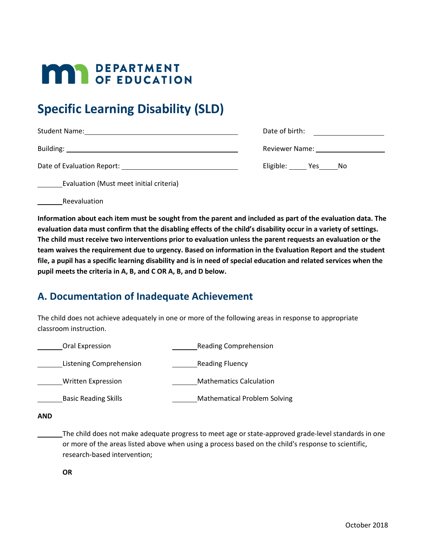# **MAY DEPARTMENT**

# **Specific Learning Disability (SLD)**

| <b>Student Name:</b><br><u>and the contract of the contract of the contract of the contract of the contract of the contract of the contract of the contract of the contract of the contract of the contract of the contract of the contract of the contr</u> | Date of birth:                                                                                                                                                                                                                 |  |
|--------------------------------------------------------------------------------------------------------------------------------------------------------------------------------------------------------------------------------------------------------------|--------------------------------------------------------------------------------------------------------------------------------------------------------------------------------------------------------------------------------|--|
|                                                                                                                                                                                                                                                              | Reviewer Name: Namer Services and Services and Services and Services and Services and Services and Services and Services and Services and Services and Services and Services and Services and Services and Services and Servic |  |
| Date of Evaluation Report: New York 1988                                                                                                                                                                                                                     | Eligible: Yes Yes<br>.No                                                                                                                                                                                                       |  |

Evaluation (Must meet initial criteria)

Reevaluation

**Information about each item must be sought from the parent and included as part of the evaluation data. The evaluation data must confirm that the disabling effects of the child's disability occur in a variety of settings. The child must receive two interventions prior to evaluation unless the parent requests an evaluation or the team waives the requirement due to urgency. Based on information in the Evaluation Report and the student file, a pupil has a specific learning disability and is in need of special education and related services when the pupil meets the criteria in A, B, and C OR A, B, and D below.**

## **A. Documentation of Inadequate Achievement**

The child does not achieve adequately in one or more of the following areas in response to appropriate classroom instruction.

|            | Oral Expression                                                                                                                                                                                                                             |  | <b>Reading Comprehension</b>        |  |
|------------|---------------------------------------------------------------------------------------------------------------------------------------------------------------------------------------------------------------------------------------------|--|-------------------------------------|--|
|            | Listening Comprehension                                                                                                                                                                                                                     |  | <b>Reading Fluency</b>              |  |
|            | Written Expression                                                                                                                                                                                                                          |  | <b>Mathematics Calculation</b>      |  |
|            | <b>Basic Reading Skills</b>                                                                                                                                                                                                                 |  | <b>Mathematical Problem Solving</b> |  |
| <b>AND</b> |                                                                                                                                                                                                                                             |  |                                     |  |
|            | The child does not make adequate progress to meet age or state-approved grade-level standards in one<br>or more of the areas listed above when using a process based on the child's response to scientific,<br>research-based intervention; |  |                                     |  |

**OR**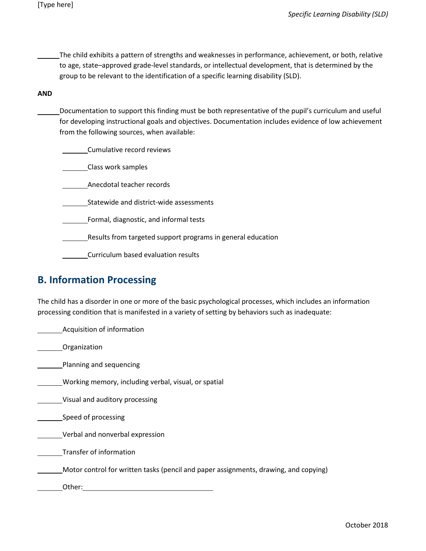The child exhibits a pattern of strengths and weaknesses in performance, achievement, or both, relative to age, state–approved grade-level standards, or intellectual development, that is determined by the group to be relevant to the identification of a specific learning disability (SLD).

#### **AND**

Documentation to support this finding must be both representative of the pupil's curriculum and useful for developing instructional goals and objectives. Documentation includes evidence of low achievement from the following sources, when available:

Cumulative record reviews

Class work samples

Anecdotal teacher records

Statewide and district-wide assessments

Formal, diagnostic, and informal tests

Results from targeted support programs in general education

Curriculum based evaluation results

#### **B. Information Processing**

The child has a disorder in one or more of the basic psychological processes, which includes an information processing condition that is manifested in a variety of setting by behaviors such as inadequate:

Acquisition of information **Companization** Planning and sequencing Working memory, including verbal, visual, or spatial Visual and auditory processing Speed of processing **Verbal and nonverbal expression** Transfer of information Motor control for written tasks (pencil and paper assignments, drawing, and copying) Other: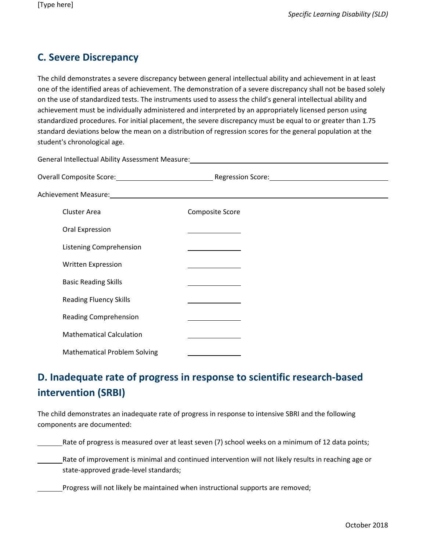### **C. Severe Discrepancy**

The child demonstrates a severe discrepancy between general intellectual ability and achievement in at least one of the identified areas of achievement. The demonstration of a severe discrepancy shall not be based solely on the use of standardized tests. The instruments used to assess the child's general intellectual ability and achievement must be individually administered and interpreted by an appropriately licensed person using standardized procedures. For initial placement, the severe discrepancy must be equal to or greater than 1.75 standard deviations below the mean on a distribution of regression scores for the general population at the student's chronological age.

| Cluster Area                        | Composite Score                                             |  |
|-------------------------------------|-------------------------------------------------------------|--|
| Oral Expression                     |                                                             |  |
| Listening Comprehension             |                                                             |  |
| <b>Written Expression</b>           |                                                             |  |
| <b>Basic Reading Skills</b>         |                                                             |  |
| <b>Reading Fluency Skills</b>       |                                                             |  |
| <b>Reading Comprehension</b>        | the control of the control of the control of the control of |  |
| <b>Mathematical Calculation</b>     |                                                             |  |
| <b>Mathematical Problem Solving</b> |                                                             |  |

## **D. Inadequate rate of progress in response to scientific research-based intervention (SRBI)**

The child demonstrates an inadequate rate of progress in response to intensive SBRI and the following components are documented:

Rate of progress is measured over at least seven (7) school weeks on a minimum of 12 data points;

Rate of improvement is minimal and continued intervention will not likely results in reaching age or state-approved grade-level standards;

Progress will not likely be maintained when instructional supports are removed;